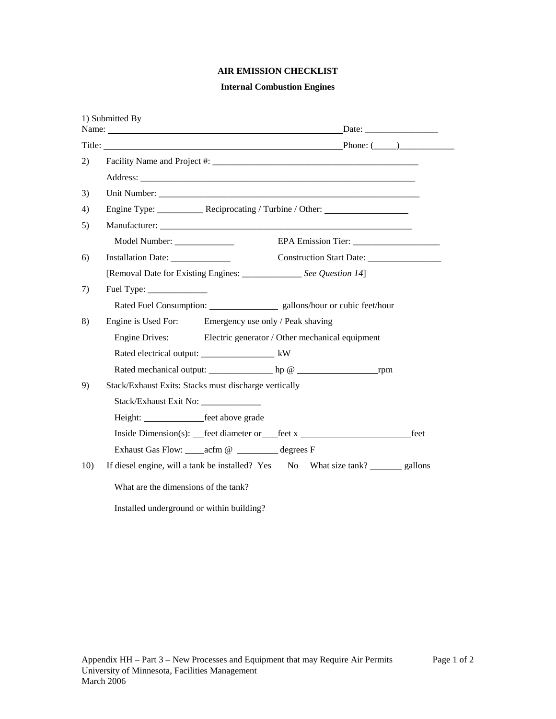# **AIR EMISSION CHECKLIST**

## **Internal Combustion Engines**

|     | 1) Submitted By                                                                     |                          |      |
|-----|-------------------------------------------------------------------------------------|--------------------------|------|
|     |                                                                                     |                          |      |
| 2)  |                                                                                     |                          |      |
|     |                                                                                     |                          |      |
| 3)  |                                                                                     |                          |      |
| 4)  |                                                                                     |                          |      |
| 5)  |                                                                                     |                          |      |
|     | Model Number: _______________                                                       |                          |      |
| 6)  | Installation Date: ______________                                                   | Construction Start Date: |      |
|     | [Removal Date for Existing Engines: _______________ See Question 14]                |                          |      |
| 7)  | Fuel Type: $\frac{1}{\sqrt{1-\frac{1}{2}} \cdot \frac{1}{2}}$                       |                          |      |
|     | Rated Fuel Consumption: _______________________ gallons/hour or cubic feet/hour     |                          |      |
| 8)  | Engine is Used For: Emergency use only / Peak shaving                               |                          |      |
|     | Engine Drives: Electric generator / Other mechanical equipment                      |                          |      |
|     | Rated electrical output: _____________________ kW                                   |                          |      |
|     |                                                                                     |                          |      |
| 9)  | Stack/Exhaust Exits: Stacks must discharge vertically                               |                          |      |
|     | Stack/Exhaust Exit No: _______________                                              |                          |      |
|     | Height: feet above grade                                                            |                          |      |
|     | Inside Dimension(s): __feet diameter or __feet x _______________________________    |                          | feet |
|     | Exhaust Gas Flow: _____ acfm @ __________ degrees F                                 |                          |      |
| 10) | If diesel engine, will a tank be installed? Yes No What size tank? ________ gallons |                          |      |
|     | What are the dimensions of the tank?                                                |                          |      |
|     | Installed underground or within building?                                           |                          |      |